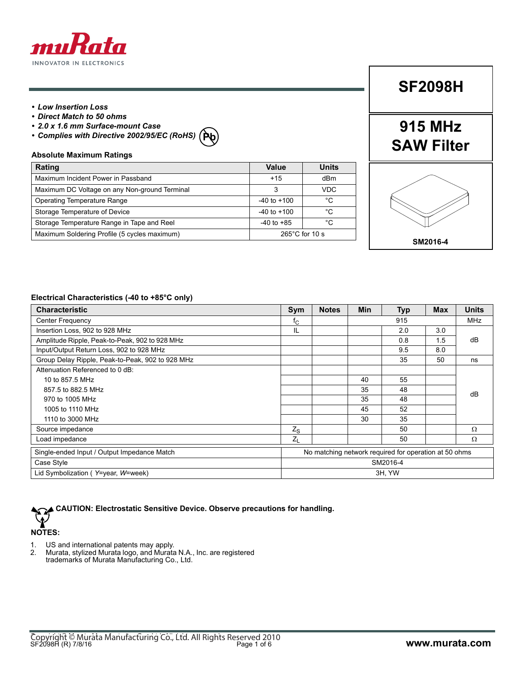

#### *• Low Insertion Loss*

- *Direct Match to 50 ohms*
- *2.0 x 1.6 mm Surface-mount Case*
- *Complies with Directive 2002/95/EC (RoHS)* **Pb**

#### **Absolute Maximum Ratings Rating Value Units** Maximum Incident Power in Passband **1988 12 dBm** +15 dBm Maximum DC Voltage on any Non-ground Terminal and a state of the State of the State of the VDC Operating Temperature Range  $\vert$  -40 to +100  $\vert$  °C Storage Temperature of Device -40 to +100 °C Storage Temperature Range in Tape and Reel  $\vert$  -40 to +85  $\vert$  °C Maximum Soldering Profile (5 cycles maximum) Maximum 265°C for 10 s

## **SF2098H**

## **915 MHz SAW Filter**



#### **Electrical Characteristics (-40 to +85°C only)**

| <b>Characteristic</b>                            | Sym                                                   | <b>Notes</b> | <b>Min</b> | <b>Typ</b> | <b>Max</b> | <b>Units</b> |
|--------------------------------------------------|-------------------------------------------------------|--------------|------------|------------|------------|--------------|
| <b>Center Frequency</b>                          | $f_{\rm C}$                                           |              |            | 915        |            | <b>MHz</b>   |
| Insertion Loss, 902 to 928 MHz                   | IL                                                    |              |            | 2.0        | 3.0        |              |
| Amplitude Ripple, Peak-to-Peak, 902 to 928 MHz   |                                                       |              |            | 0.8        | 1.5        | dB           |
| Input/Output Return Loss, 902 to 928 MHz         |                                                       |              |            | 9.5        | 8.0        |              |
| Group Delay Ripple, Peak-to-Peak, 902 to 928 MHz |                                                       |              |            | 35         | 50         | ns           |
| Attenuation Referenced to 0 dB:                  |                                                       |              |            |            |            |              |
| 10 to 857.5 MHz                                  |                                                       |              | 40         | 55         |            |              |
| 857.5 to 882.5 MHz                               |                                                       |              | 35         | 48         |            | dB           |
| 970 to 1005 MHz                                  |                                                       |              | 35         | 48         |            |              |
| 1005 to 1110 MHz                                 |                                                       |              | 45         | 52         |            |              |
| 1110 to 3000 MHz                                 |                                                       |              | 30         | 35         |            |              |
| Source impedance                                 | $Z_{S}$                                               |              |            | 50         |            | Ω            |
| Load impedance                                   | $Z_L$                                                 |              |            | 50         |            | Ω            |
| Single-ended Input / Output Impedance Match      | No matching network required for operation at 50 ohms |              |            |            |            |              |
| Case Style                                       | SM2016-4                                              |              |            |            |            |              |
| Lid Symbolization (Y=year, W=week)               | 3H, YW                                                |              |            |            |            |              |



- 1. US and international patents may apply.
- 2. Murata, stylized Murata logo, and Murata N.A., Inc. are registered

trademarks of Murata Manufacturing Co., Ltd.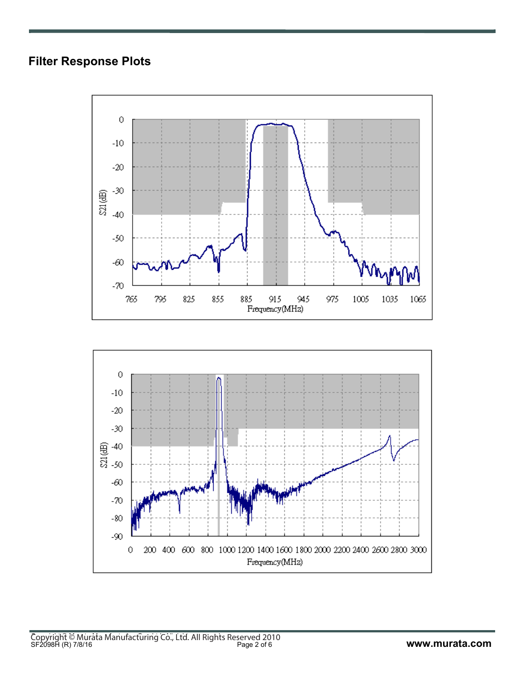### **Filter Response Plots**



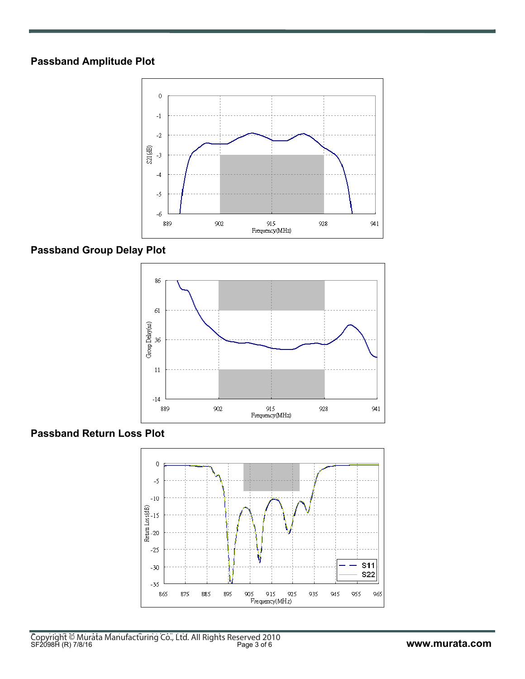#### **Passband Amplitude Plot**



### **Passband Group Delay Plot**



#### **Passband Return Loss Plot**

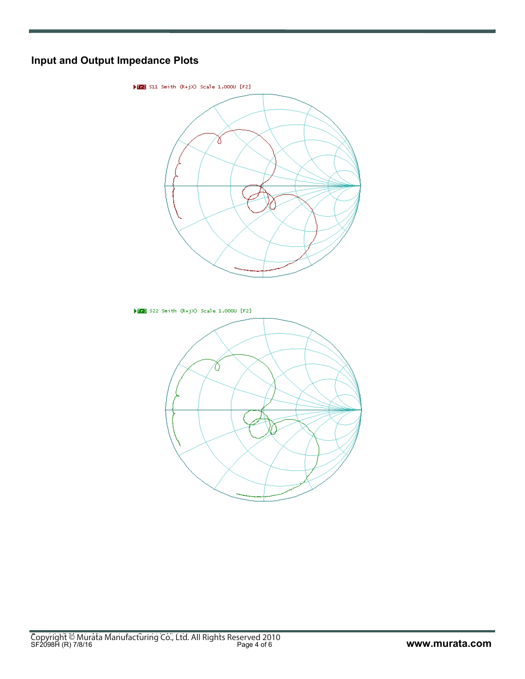### **Input and Output Impedance Plots**

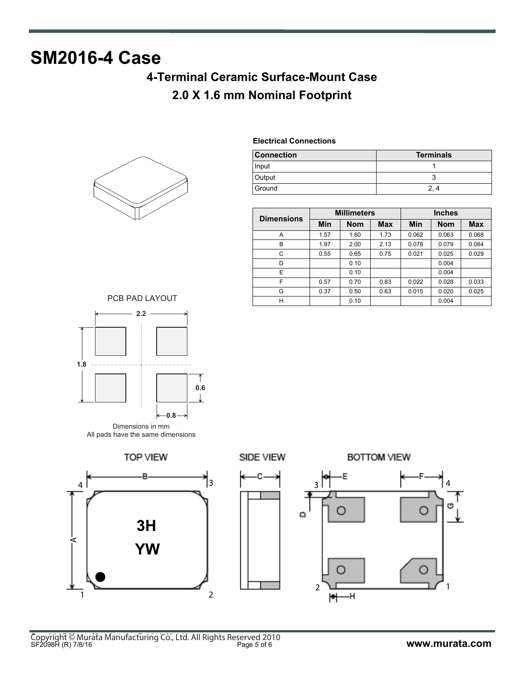# **SM2016-4 Case**

## **4-Terminal Ceramic Surface-Mount Case 2.0 X 1.6 mm Nominal Footprint**



**Electrical Connections**

| <b>Connection</b> | <b>Terminals</b> |
|-------------------|------------------|
| Input             |                  |
| Output            |                  |
| Ground            |                  |

| <b>Dimensions</b> | <b>Millimeters</b> |            |            | <b>Inches</b> |            |            |  |
|-------------------|--------------------|------------|------------|---------------|------------|------------|--|
|                   | Min                | <b>Nom</b> | <b>Max</b> | Min           | <b>Nom</b> | <b>Max</b> |  |
| Α                 | 1.57               | 1.60       | 1.73       | 0.062         | 0.063      | 0.068      |  |
| B                 | 1.97               | 2.00       | 2.13       | 0.078         | 0.079      | 0.084      |  |
| C                 | 0.55               | 0.65       | 0.75       | 0.021         | 0.025      | 0.029      |  |
| D                 |                    | 0.10       |            |               | 0.004      |            |  |
| E                 |                    | 0.10       |            |               | 0.004      |            |  |
| F                 | 0.57               | 0.70       | 0.83       | 0.022         | 0.028      | 0.033      |  |
| G                 | 0.37               | 0.50       | 0.63       | 0.015         | 0.020      | 0.025      |  |
| Н                 |                    | 0.10       |            |               | 0.004      |            |  |





Dimensions in mm All pads have the same dimensions







**BOTTOM VIEW** 

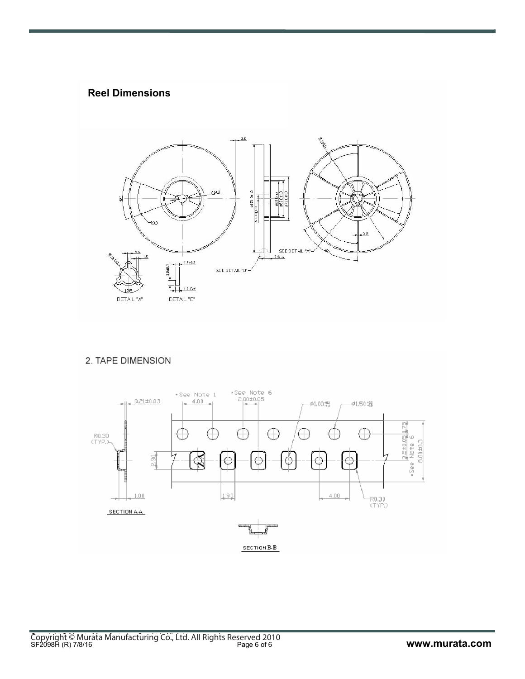#### **Reel Dimensions**



#### 2. TAPE DIMENSION